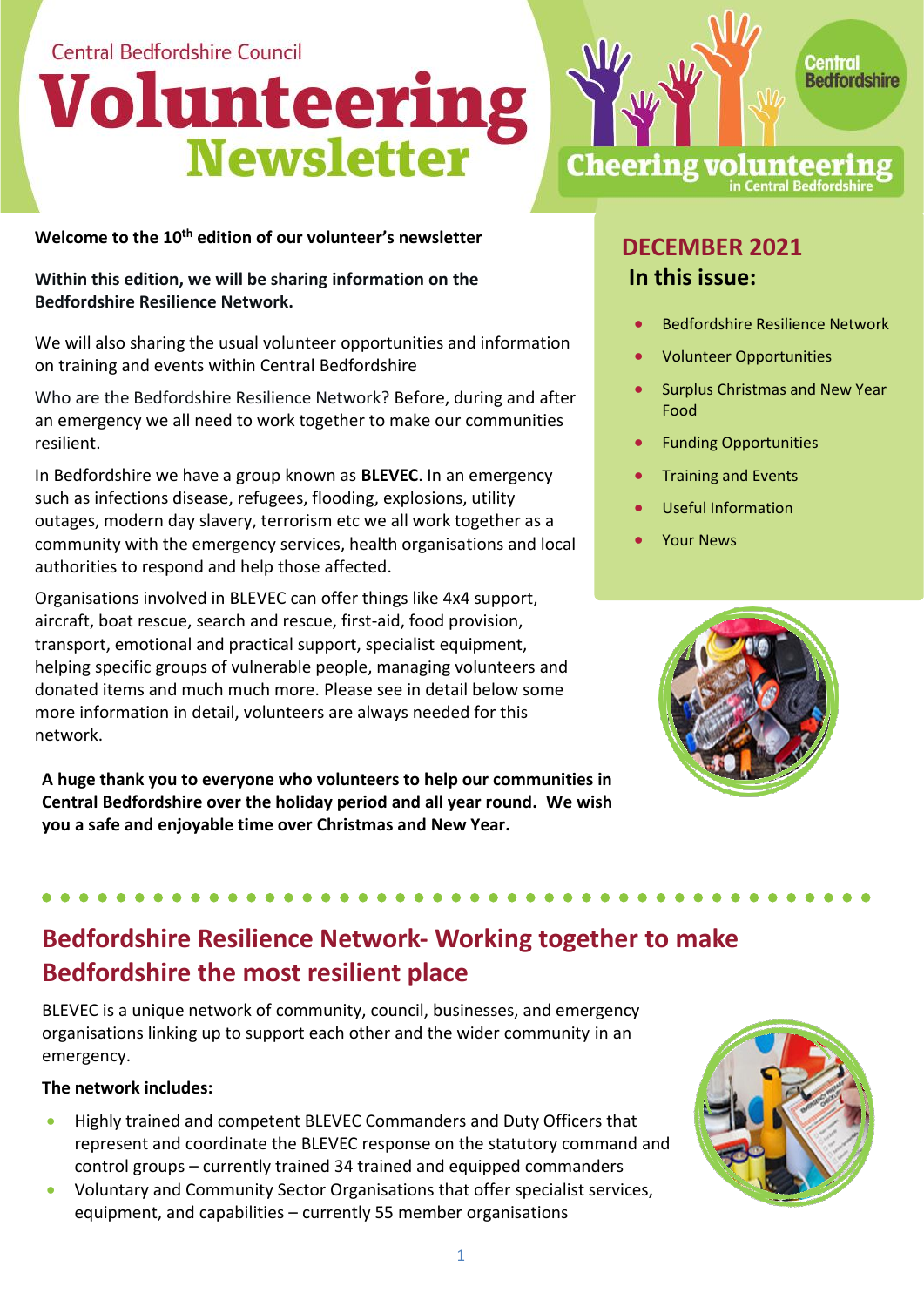Central Bedfordshire Council

# **Volunteering<br>Newsletter**

**Welcome to the 10<sup>th</sup> edition of our volunteer's newsletter<br>
<b>DECEMBER 2021** 

**Within this edition, we will be sharing information on the Bedfordshire Resilience Network.**

We will also sharing the usual volunteer opportunities and information on training and events within Central Bedfordshire

Who are the Bedfordshire Resilience Network? Before, during and after an emergency we all need to work together to make our communities resilient.

In Bedfordshire we have a group known as **BLEVEC**. In an emergency such as infections disease, refugees, flooding, explosions, utility outages, modern day slavery, terrorism etc we all work together as a community with the emergency services, health organisations and local authorities to respond and help those affected.

Organisations involved in BLEVEC can offer things like 4x4 support, aircraft, boat rescue, search and rescue, first-aid, food provision, transport, emotional and practical support, specialist equipment, helping specific groups of vulnerable people, managing volunteers and donated items and much much more. Please see in detail below some more information in detail, volunteers are always needed for this network.

**A huge thank you to everyone who volunteers to help our communities in Central Bedfordshire over the holiday period and all year round. We wish you a safe and enjoyable time over Christmas and New Year.** 

## **In this issue:**

**Cheering volunteerin** 

• Bedfordshire Resilience Network

in Central Bedfords

**Redfordshire** 

- Volunteer Opportunities
- Surplus Christmas and New Year Food
- Funding Opportunities
- Training and Events
- Useful Information
- Your News



## **Bedfordshire Resilience Network- Working together to make Bedfordshire the most resilient place**

BLEVEC is a unique network of community, council, businesses, and emergency organisations linking up to support each other and the wider community in an emergency.

#### **The network includes:**

- Highly trained and competent BLEVEC Commanders and Duty Officers that represent and coordinate the BLEVEC response on the statutory command and control groups – currently trained 34 trained and equipped commanders
- Voluntary and Community Sector Organisations that offer specialist services, equipment, and capabilities – currently 55 member organisations

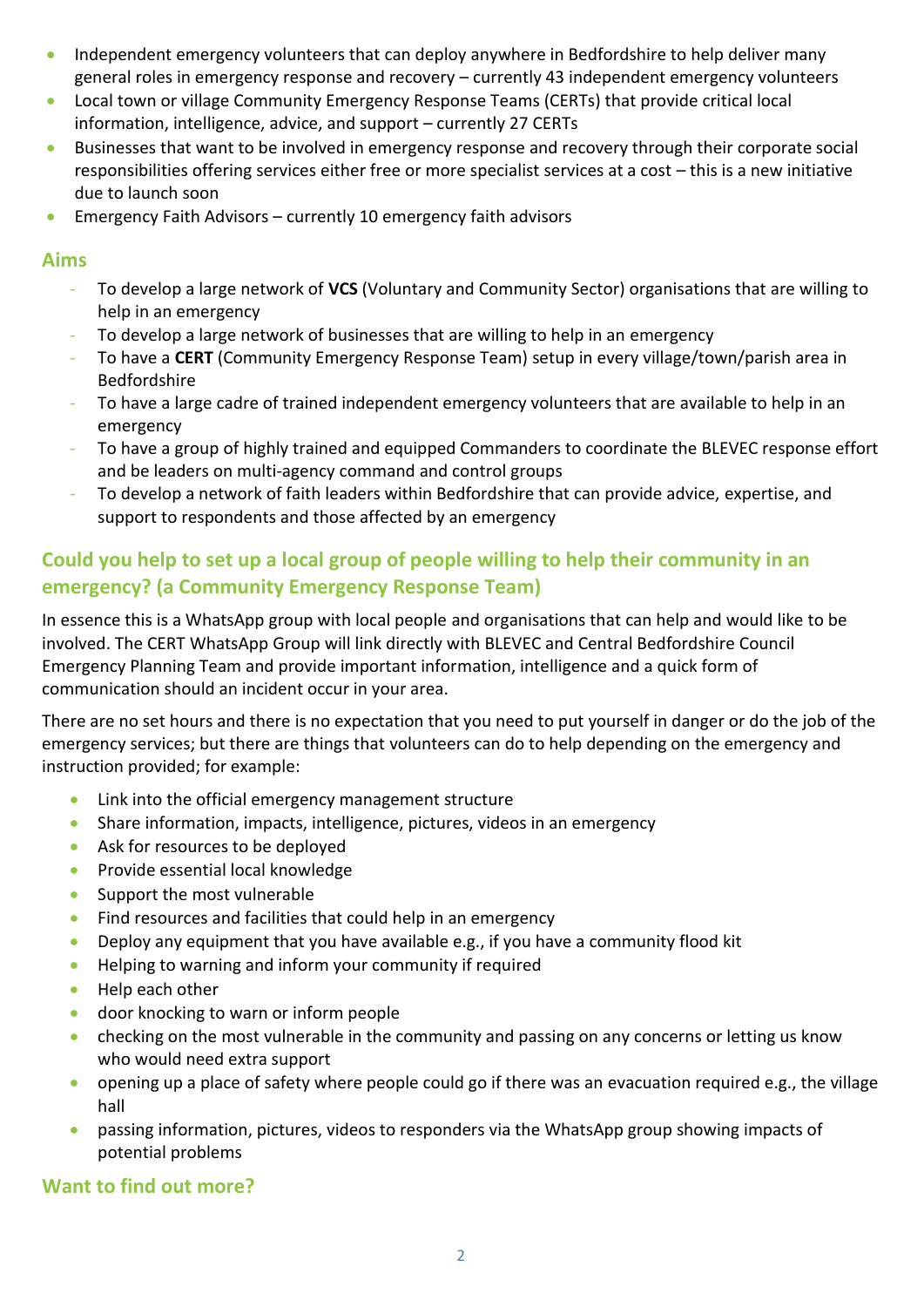- Independent emergency volunteers that can deploy anywhere in Bedfordshire to help deliver many general roles in emergency response and recovery – currently 43 independent emergency volunteers
- Local town or village Community Emergency Response Teams (CERTs) that provide critical local information, intelligence, advice, and support – currently 27 CERTs
- Businesses that want to be involved in emergency response and recovery through their corporate social responsibilities offering services either free or more specialist services at a cost – this is a new initiative due to launch soon
- Emergency Faith Advisors currently 10 emergency faith advisors

#### **Aims**

- To develop a large network of **VCS** (Voluntary and Community Sector) organisations that are willing to help in an emergency
- To develop a large network of businesses that are willing to help in an emergency
- To have a **CERT** (Community Emergency Response Team) setup in every village/town/parish area in Bedfordshire
- To have a large cadre of trained independent emergency volunteers that are available to help in an emergency
- To have a group of highly trained and equipped Commanders to coordinate the BLEVEC response effort and be leaders on multi-agency command and control groups
- To develop a network of faith leaders within Bedfordshire that can provide advice, expertise, and support to respondents and those affected by an emergency

#### **Could you help to set up a local group of people willing to help their community in an emergency? (a Community Emergency Response Team)**

In essence this is a WhatsApp group with local people and organisations that can help and would like to be involved. The CERT WhatsApp Group will link directly with BLEVEC and Central Bedfordshire Council Emergency Planning Team and provide important information, intelligence and a quick form of communication should an incident occur in your area.

There are no set hours and there is no expectation that you need to put yourself in danger or do the job of the emergency services; but there are things that volunteers can do to help depending on the emergency and instruction provided; for example:

- Link into the official emergency management structure
- Share information, impacts, intelligence, pictures, videos in an emergency
- Ask for resources to be deployed
- Provide essential local knowledge
- Support the most vulnerable
- Find resources and facilities that could help in an emergency
- Deploy any equipment that you have available e.g., if you have a community flood kit
- Helping to warning and inform your community if required
- Help each other
- door knocking to warn or inform people
- checking on the most vulnerable in the community and passing on any concerns or letting us know who would need extra support
- opening up a place of safety where people could go if there was an evacuation required e.g., the village hall
- passing information, pictures, videos to responders via the WhatsApp group showing impacts of potential problems

#### **Want to find out more?**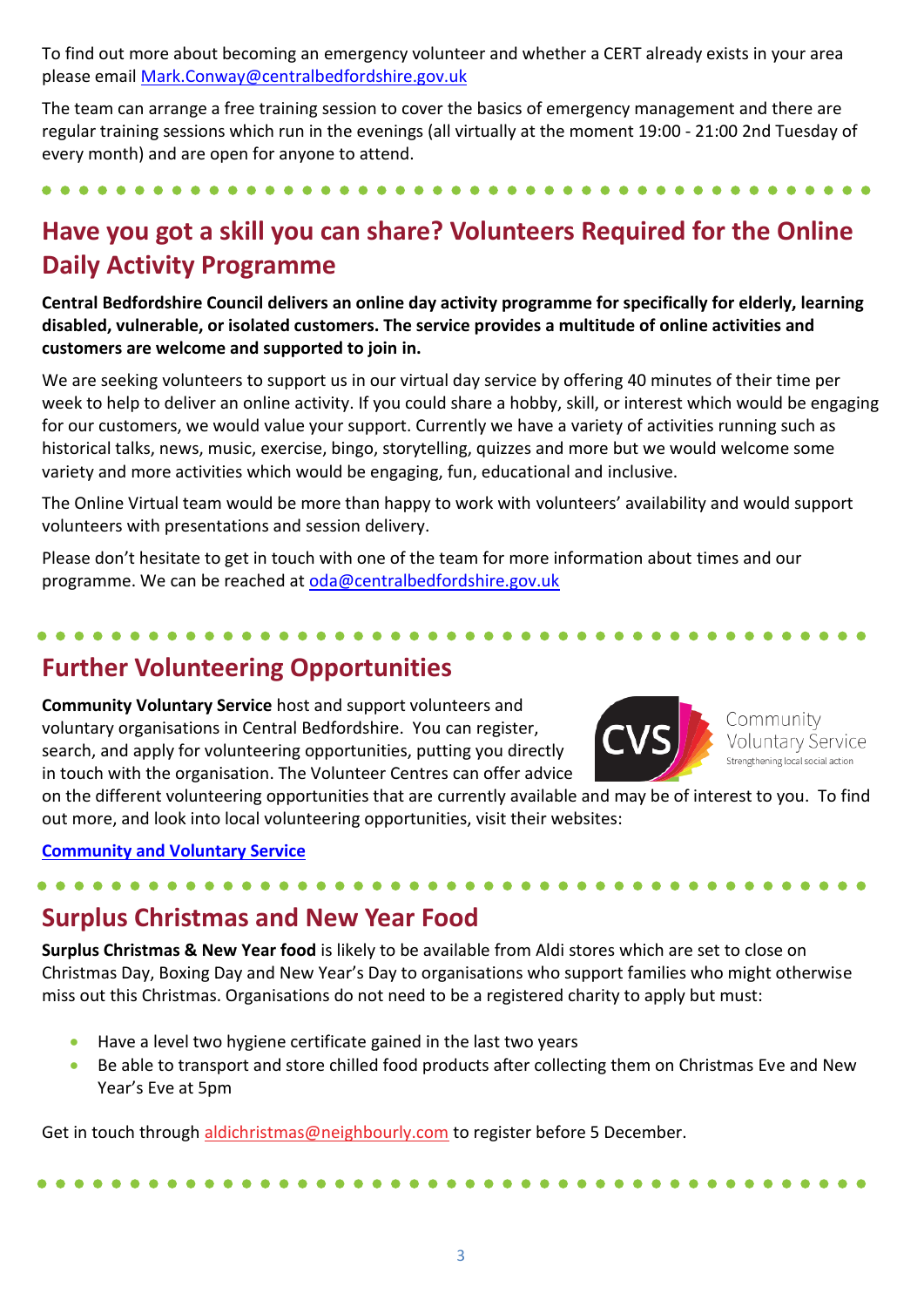To find out more about becoming an emergency volunteer and whether a CERT already exists in your area please emai[l Mark.Conway@centralbedfordshire.gov.uk](mailto:Mark.Conway@centralbedfordshire.gov.uk)

The team can arrange a free training session to cover the basics of emergency management and there are regular training sessions which run in the evenings (all virtually at the moment 19:00 - 21:00 2nd Tuesday of every month) and are open for anyone to attend.

### **Have you got a skill you can share? Volunteers Required for the Online Daily Activity Programme**

**Central Bedfordshire Council delivers an online day activity programme for specifically for elderly, learning disabled, vulnerable, or isolated customers. The service provides a multitude of online activities and customers are welcome and supported to join in.**

We are seeking volunteers to support us in our virtual day service by offering 40 minutes of their time per week to help to deliver an online activity. If you could share a hobby, skill, or interest which would be engaging for our customers, we would value your support. Currently we have a variety of activities running such as historical talks, news, music, exercise, bingo, storytelling, quizzes and more but we would welcome some variety and more activities which would be engaging, fun, educational and inclusive.

The Online Virtual team would be more than happy to work with volunteers' availability and would support volunteers with presentations and session delivery.

Please don't hesitate to get in touch with one of the team for more information about times and our programme. We can be reached at [oda@centralbedfordshire.gov.uk](mailto:oda@centralbedfordshire.gov.uk)

#### **Further Volunteering Opportunities**

**Community Voluntary Service** host and support volunteers and voluntary organisations in Central Bedfordshire. You can register, search, and apply for volunteering opportunities, putting you directly in touch with the organisation. The Volunteer Centres can offer advice



Community Voluntary Service Strengthening local social action

on the different volunteering opportunities that are currently available and may be of interest to you. To find out more, and look into local volunteering opportunities, visit their websites:

#### **[Community and Voluntary Service](https://www.cvsbeds.org.uk/volunteering/)**

#### **Surplus Christmas and New Year Food**

**Surplus Christmas & New Year food** is likely to be available from Aldi stores which are set to close on Christmas Day, Boxing Day and New Year's Day to organisations who support families who might otherwise miss out this Christmas. Organisations do not need to be a registered charity to apply but must:

- Have a level two hygiene certificate gained in the last two years
- Be able to transport and store chilled food products after collecting them on Christmas Eve and New Year's Eve at 5pm

Get in touch through [aldichristmas@neighbourly.com](mailto:aldichristmas@neighbourly.com) to register before 5 December.

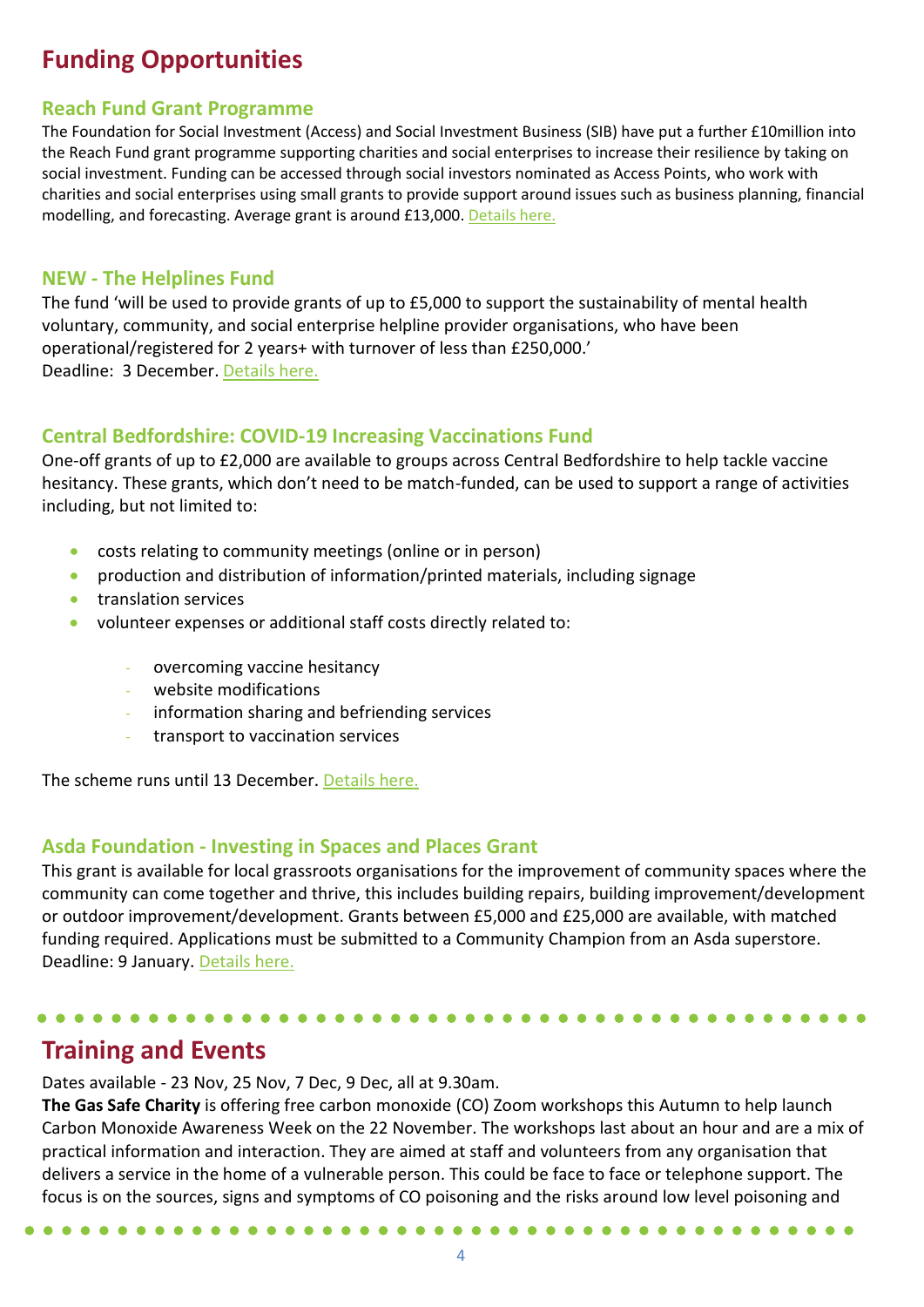#### **Funding Opportunities**

#### **Reach Fund Grant Programme**

The Foundation for Social Investment (Access) and Social Investment Business (SIB) have put a further £10million into the Reach Fund grant programme supporting charities and social enterprises to increase their resilience by taking on social investment. Funding can be accessed through social investors nominated as Access Points, who work with charities and social enterprises using small grants to provide support around issues such as business planning, financial modelling, and forecasting. Average grant is around £13,000. [Details here.](https://www.reachfund.org.uk/)

#### **NEW - The Helplines Fund**

The fund 'will be used to provide grants of up to £5,000 to support the sustainability of mental health voluntary, community, and social enterprise helpline provider organisations, who have been operational/registered for 2 years+ with turnover of less than £250,000.' Deadline: 3 December. [Details here.](https://amhp.org.uk/our-work/mh-sustainability-programme/helplines-fund-with-bupa-foundation/)

#### **Central Bedfordshire: COVID-19 Increasing Vaccinations Fund**

One-off grants of up to £2,000 are available to groups across Central Bedfordshire to help tackle vaccine hesitancy. These grants, which don't need to be match-funded, can be used to support a range of activities including, but not limited to:

- costs relating to community meetings (online or in person)
- production and distribution of information/printed materials, including signage
- translation services
- volunteer expenses or additional staff costs directly related to:
	- overcoming vaccine hesitancy
	- website modifications
	- information sharing and befriending services
	- transport to vaccination services

The scheme runs until 13 December. [Details here.](https://www.centralbedfordshire.gov.uk/vaccine-fund)

#### **Asda Foundation - Investing in Spaces and Places Grant**

This grant is available for local grassroots organisations for the improvement of community spaces where the community can come together and thrive, this includes building repairs, building improvement/development or outdoor improvement/development. Grants between £5,000 and £25,000 are available, with matched funding required. Applications must be submitted to a Community Champion from an Asda superstore. Deadline: 9 January. [Details here.](https://www.asdafoundation.org/documents/investing_in_spaces_and_places_grant_group_guidance.pdf)

#### **Training and Events**

Dates available - 23 Nov, 25 Nov, 7 Dec, 9 Dec, all at 9.30am.

**The Gas Safe Charity** is offering free carbon monoxide (CO) Zoom workshops this Autumn to help launch Carbon Monoxide Awareness Week on the 22 November. The workshops last about an hour and are a mix of practical information and interaction. They are aimed at staff and volunteers from any organisation that delivers a service in the home of a vulnerable person. This could be face to face or telephone support. The focus is on the sources, signs and symptoms of CO poisoning and the risks around low level poisoning and